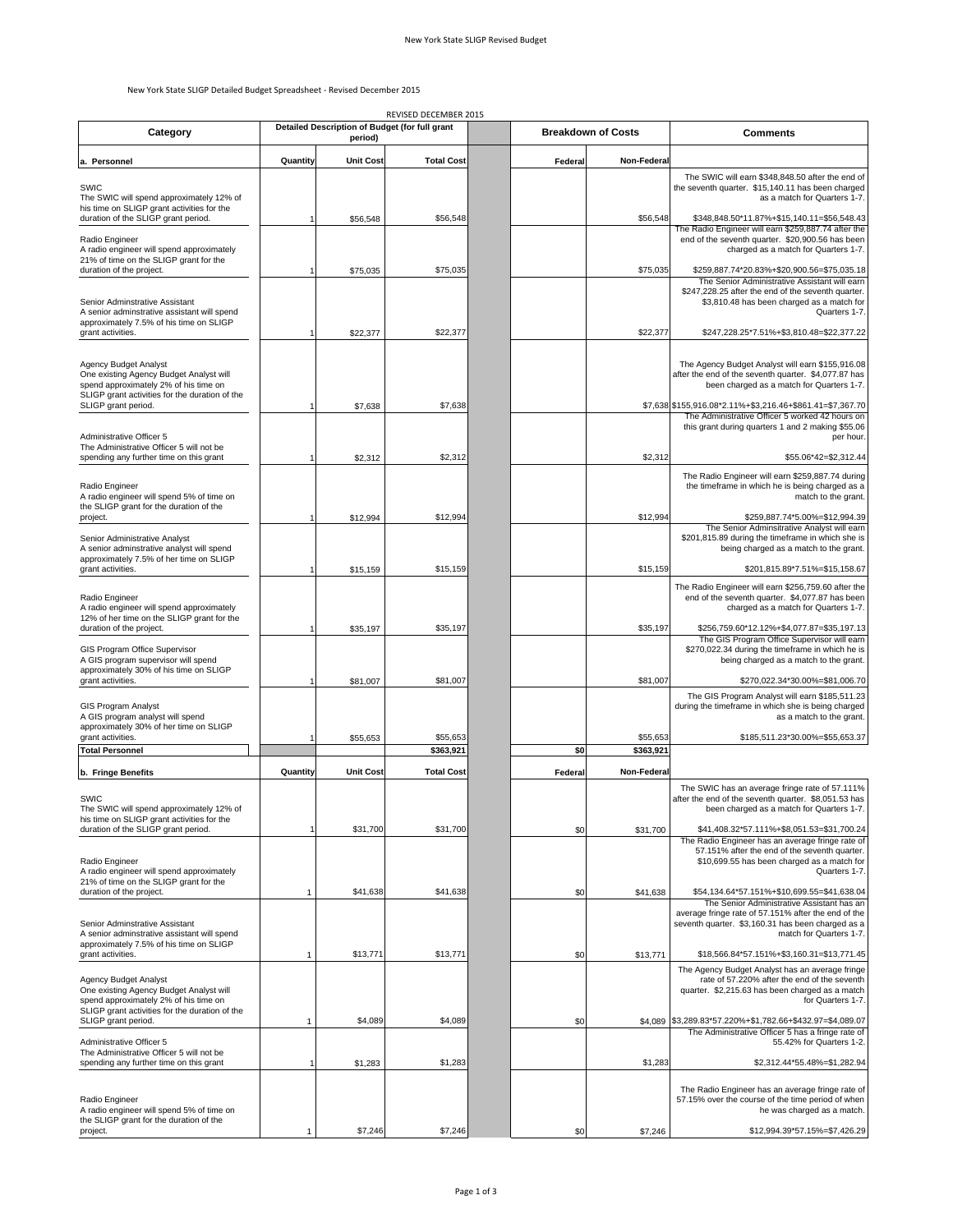#### New York State SLIGP Detailed Budget Spreadsheet ‐ Revised December 2015

|                                                                                                                                                             |          |                                                           | REVISED DECEMBER 2015 |         |                           |                                                                                                                                                                                                                   |
|-------------------------------------------------------------------------------------------------------------------------------------------------------------|----------|-----------------------------------------------------------|-----------------------|---------|---------------------------|-------------------------------------------------------------------------------------------------------------------------------------------------------------------------------------------------------------------|
| Category                                                                                                                                                    |          | Detailed Description of Budget (for full grant<br>period) |                       |         | <b>Breakdown of Costs</b> | Comments                                                                                                                                                                                                          |
| a. Personnel                                                                                                                                                | Quantity | <b>Unit Cost</b>                                          | <b>Total Cost</b>     | Federal | Non-Federal               |                                                                                                                                                                                                                   |
| SWIC<br>The SWIC will spend approximately 12% of                                                                                                            |          |                                                           |                       |         |                           | The SWIC will earn \$348,848.50 after the end of<br>the seventh quarter. \$15,140.11 has been charged<br>as a match for Quarters 1-7.                                                                             |
| his time on SLIGP grant activities for the<br>duration of the SLIGP grant period.                                                                           |          | \$56,548                                                  | \$56,548              |         | \$56,548                  | \$348,848.50*11.87%+\$15,140.11=\$56,548.43<br>The Radio Engineer will earn \$259,887.74 after the                                                                                                                |
| Radio Engineer<br>A radio engineer will spend approximately<br>21% of time on the SLIGP grant for the                                                       |          |                                                           |                       |         |                           | end of the seventh quarter. \$20,900.56 has been<br>charged as a match for Quarters 1-7.                                                                                                                          |
| duration of the project.<br>Senior Adminstrative Assistant                                                                                                  |          | \$75,035                                                  | \$75,035              |         | \$75,035                  | \$259,887.74*20.83%+\$20,900.56=\$75,035.18<br>The Senior Administrative Assistant will earn<br>\$247,228.25 after the end of the seventh quarter.<br>\$3,810.48 has been charged as a match for<br>Quarters 1-7. |
| A senior adminstrative assistant will spend<br>approximately 7.5% of his time on SLIGP<br>grant activities.                                                 |          | \$22,377                                                  | \$22,377              |         | \$22,377                  | \$247,228.25*7.51%+\$3,810.48=\$22,377.22                                                                                                                                                                         |
| Agency Budget Analyst<br>One existing Agency Budget Analyst will<br>spend approximately 2% of his time on<br>SLIGP grant activities for the duration of the |          |                                                           |                       |         |                           | The Agency Budget Analyst will earn \$155,916.08<br>after the end of the seventh quarter. \$4,077.87 has<br>been charged as a match for Quarters 1-7.                                                             |
| SLIGP grant period.                                                                                                                                         |          | \$7,638                                                   | \$7,638               |         |                           | \$7,638 \$155,916.08*2.11%+\$3,216.46+\$861.41=\$7,367.70<br>The Administrative Officer 5 worked 42 hours on<br>this grant during quarters 1 and 2 making \$55.06                                                 |
| Administrative Officer 5<br>The Administrative Officer 5 will not be<br>spending any further time on this grant                                             |          | \$2,312                                                   | \$2,312               |         | \$2,312                   | per hour.<br>\$55.06*42=\$2,312.44                                                                                                                                                                                |
| Radio Engineer<br>A radio engineer will spend 5% of time on<br>the SLIGP grant for the duration of the                                                      |          |                                                           |                       |         |                           | The Radio Engineer will earn \$259,887.74 during<br>the timeframe in which he is being charged as a<br>match to the grant.                                                                                        |
| project.<br>Senior Administrative Analyst                                                                                                                   |          | \$12,994                                                  | \$12,994              |         | \$12,994                  | \$259,887.74*5.00%=\$12,994.39<br>The Senior Adminsitrative Analyst will earn<br>\$201,815.89 during the timeframe in which she is                                                                                |
| A senior adminstrative analyst will spend<br>approximately 7.5% of her time on SLIGP<br>grant activities.                                                   |          | \$15,159                                                  | \$15,159              |         | \$15,159                  | being charged as a match to the grant.<br>\$201,815.89*7.51%=\$15,158.67                                                                                                                                          |
| Radio Engineer<br>A radio engineer will spend approximately<br>12% of her time on the SLIGP grant for the                                                   |          |                                                           |                       |         |                           | The Radio Engineer will earn \$256,759.60 after the<br>end of the seventh quarter. \$4,077.87 has been<br>charged as a match for Quarters 1-7.                                                                    |
| duration of the project.<br>GIS Program Office Supervisor                                                                                                   |          | \$35,197                                                  | \$35,197              |         | \$35,197                  | \$256,759.60*12.12%+\$4,077.87=\$35,197.13<br>The GIS Program Office Supervisor will earn<br>\$270,022.34 during the timeframe in which he is                                                                     |
| A GIS program supervisor will spend<br>approximately 30% of his time on SLIGP<br>grant activities.                                                          |          | \$81,007                                                  | \$81,007              |         | \$81,007                  | being charged as a match to the grant.<br>\$270,022.34*30.00%=\$81,006.70                                                                                                                                         |
| GIS Program Analyst<br>A GIS program analyst will spend                                                                                                     |          |                                                           |                       |         |                           | The GIS Program Analyst will earn \$185,511.23<br>during the timeframe in which she is being charged<br>as a match to the grant.                                                                                  |
| approximately 30% of her time on SLIGP<br>grant activities.<br><b>Total Personnel</b>                                                                       |          | \$55,653                                                  | \$55,653<br>\$363,921 | \$0     | \$55,653<br>\$363,921     | \$185,511.23*30.00%=\$55,653.37                                                                                                                                                                                   |
| b. Fringe Benefits                                                                                                                                          | Quantity | <b>Unit Cost</b>                                          | <b>Total Cost</b>     | Federal | Non-Federal               |                                                                                                                                                                                                                   |
| SWIC<br>The SWIC will spend approximately 12% of<br>his time on SLIGP grant activities for the                                                              |          |                                                           |                       |         |                           | The SWIC has an average fringe rate of 57.111%<br>after the end of the seventh quarter. \$8,051.53 has<br>been charged as a match for Quarters 1-7.                                                               |
| duration of the SLIGP grant period.                                                                                                                         |          | \$31,700                                                  | \$31,700              | \$0     | \$31,700                  | \$41,408.32*57.111%+\$8,051.53=\$31,700.24<br>The Radio Engineer has an average fringe rate of                                                                                                                    |
| Radio Engineer<br>A radio engineer will spend approximately<br>21% of time on the SLIGP grant for the                                                       |          |                                                           |                       |         |                           | 57.151% after the end of the seventh quarter.<br>\$10,699.55 has been charged as a match for<br>Quarters 1-7.                                                                                                     |
| duration of the project.<br>Senior Adminstrative Assistant                                                                                                  | 1        | \$41,638                                                  | \$41,638              | \$0     | \$41,638                  | \$54,134.64*57.151%+\$10,699.55=\$41,638.04<br>The Senior Administrative Assistant has an<br>average fringe rate of 57.151% after the end of the<br>seventh quarter. \$3,160.31 has been charged as a             |
| A senior adminstrative assistant will spend<br>approximately 7.5% of his time on SLIGP<br>grant activities.                                                 | 1        | \$13,771                                                  | \$13,771              | \$0     | \$13,771                  | match for Quarters 1-7.<br>\$18,566.84*57.151%+\$3,160.31=\$13,771.45                                                                                                                                             |
| <b>Agency Budget Analyst</b><br>One existing Agency Budget Analyst will<br>spend approximately 2% of his time on                                            |          |                                                           |                       |         |                           | The Agency Budget Analyst has an average fringe<br>rate of 57.220% after the end of the seventh<br>quarter. \$2,215.63 has been charged as a match<br>for Quarters 1-7.                                           |
| SLIGP grant activities for the duration of the<br>SLIGP grant period.                                                                                       | 1        | \$4,089                                                   | \$4,089               | \$0     | \$4,089                   | \$3,289.83*57.220%+\$1,782.66+\$432.97=\$4,089.07<br>The Administrative Officer 5 has a fringe rate of                                                                                                            |
| Administrative Officer 5<br>The Administrative Officer 5 will not be<br>spending any further time on this grant                                             |          | \$1,283                                                   | \$1,283               |         | \$1,283                   | 55.42% for Quarters 1-2.<br>\$2,312.44*55.48%=\$1,282.94                                                                                                                                                          |
| Radio Engineer<br>A radio engineer will spend 5% of time on                                                                                                 |          |                                                           |                       |         |                           | The Radio Engineer has an average fringe rate of<br>57.15% over the course of the time period of when<br>he was charged as a match.                                                                               |
| the SLIGP grant for the duration of the<br>project.                                                                                                         |          | \$7,246                                                   | \$7,246               | \$0     | \$7,246                   | \$12,994.39*57.15%=\$7,426.29                                                                                                                                                                                     |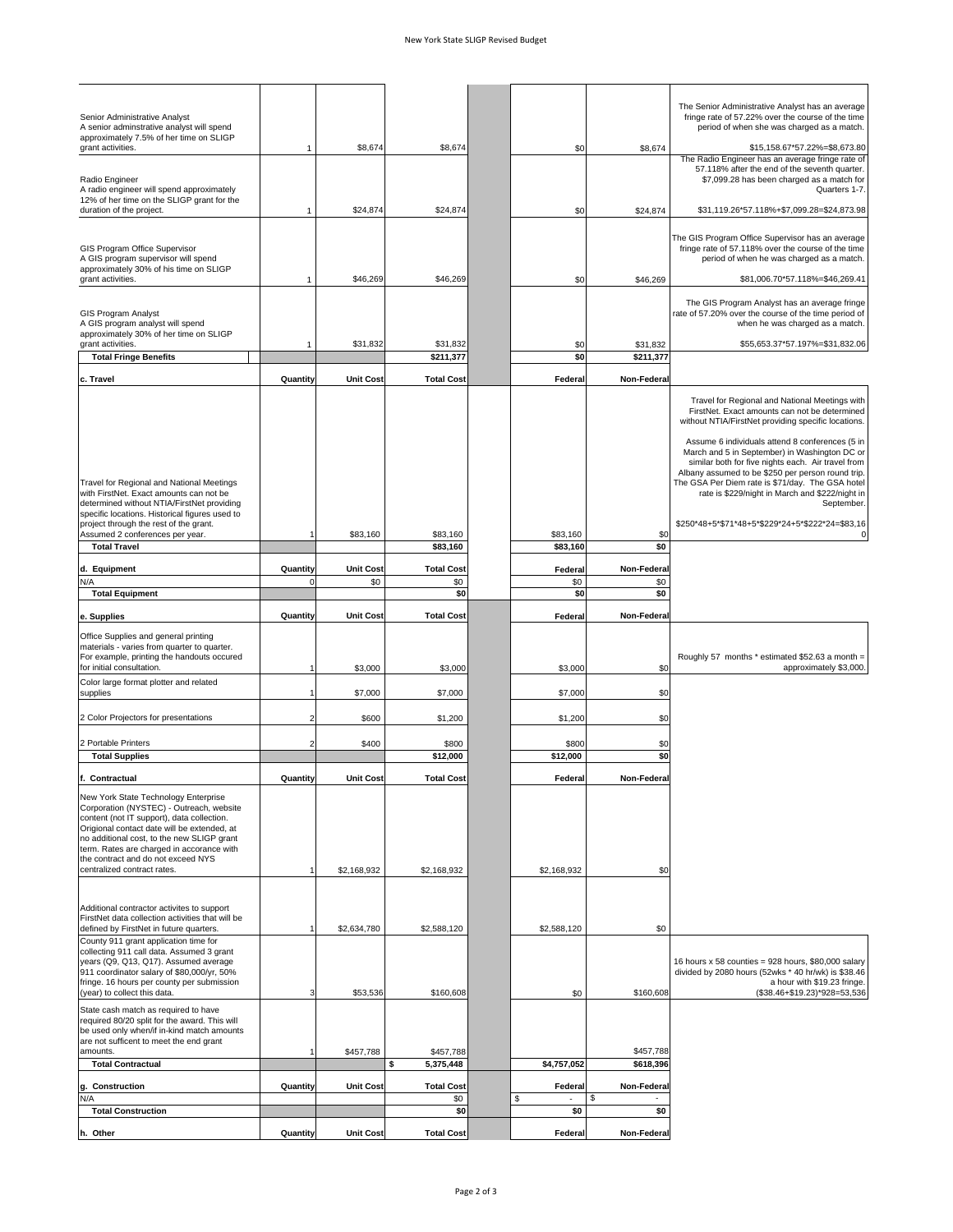| Senior Administrative Analyst<br>A senior adminstrative analyst will spend                                                                                                                                                                                                                                                                    |             |                  |                   |                   |             | The Senior Administrative Analyst has an average<br>fringe rate of 57.22% over the course of the time<br>period of when she was charged as a match.                                                                                                                                                                                                                                                                                                                                        |
|-----------------------------------------------------------------------------------------------------------------------------------------------------------------------------------------------------------------------------------------------------------------------------------------------------------------------------------------------|-------------|------------------|-------------------|-------------------|-------------|--------------------------------------------------------------------------------------------------------------------------------------------------------------------------------------------------------------------------------------------------------------------------------------------------------------------------------------------------------------------------------------------------------------------------------------------------------------------------------------------|
| approximately 7.5% of her time on SLIGP<br>grant activities.                                                                                                                                                                                                                                                                                  | 1           | \$8,674          | \$8,674           | \$0               | \$8,674     | \$15,158.67*57.22%=\$8,673.80                                                                                                                                                                                                                                                                                                                                                                                                                                                              |
| Radio Engineer<br>A radio engineer will spend approximately                                                                                                                                                                                                                                                                                   |             |                  |                   |                   |             | The Radio Engineer has an average fringe rate of<br>57.118% after the end of the seventh quarter.<br>\$7,099.28 has been charged as a match for<br>Quarters 1-7.                                                                                                                                                                                                                                                                                                                           |
| 12% of her time on the SLIGP grant for the<br>duration of the project.                                                                                                                                                                                                                                                                        | 1           | \$24,874         | \$24,874          | \$0               | \$24,874    | \$31,119.26*57.118%+\$7,099.28=\$24,873.98                                                                                                                                                                                                                                                                                                                                                                                                                                                 |
| GIS Program Office Supervisor<br>A GIS program supervisor will spend                                                                                                                                                                                                                                                                          |             |                  |                   |                   |             | The GIS Program Office Supervisor has an average<br>fringe rate of 57.118% over the course of the time<br>period of when he was charged as a match.                                                                                                                                                                                                                                                                                                                                        |
| approximately 30% of his time on SLIGP<br>grant activities.                                                                                                                                                                                                                                                                                   | 1           | \$46,269         | \$46,269          | \$0               | \$46,269    | \$81,006.70*57.118%=\$46,269.41                                                                                                                                                                                                                                                                                                                                                                                                                                                            |
| <b>GIS Program Analyst</b><br>A GIS program analyst will spend                                                                                                                                                                                                                                                                                |             |                  |                   |                   |             | The GIS Program Analyst has an average fringe<br>rate of 57.20% over the course of the time period of<br>when he was charged as a match.                                                                                                                                                                                                                                                                                                                                                   |
| approximately 30% of her time on SLIGP<br>grant activities.                                                                                                                                                                                                                                                                                   | 1           | \$31,832         | \$31,832          | \$0               | \$31,832    | \$55,653.37*57.197%=\$31,832.06                                                                                                                                                                                                                                                                                                                                                                                                                                                            |
| <b>Total Fringe Benefits</b>                                                                                                                                                                                                                                                                                                                  |             |                  | \$211,377         | \$0               | \$211,377   |                                                                                                                                                                                                                                                                                                                                                                                                                                                                                            |
| c. Travel                                                                                                                                                                                                                                                                                                                                     | Quantity    | <b>Unit Cost</b> | <b>Total Cost</b> | Federal           | Non-Federal |                                                                                                                                                                                                                                                                                                                                                                                                                                                                                            |
| Travel for Regional and National Meetings<br>with FirstNet. Exact amounts can not be<br>determined without NTIA/FirstNet providing<br>specific locations. Historical figures used to                                                                                                                                                          |             |                  |                   |                   |             | Travel for Regional and National Meetings with<br>FirstNet. Exact amounts can not be determined<br>without NTIA/FirstNet providing specific locations.<br>Assume 6 individuals attend 8 conferences (5 in<br>March and 5 in September) in Washington DC or<br>similar both for five nights each. Air travel from<br>Albany assumed to be \$250 per person round trip.<br>The GSA Per Diem rate is \$71/day. The GSA hotel<br>rate is \$229/night in March and \$222/night in<br>September. |
| project through the rest of the grant.<br>Assumed 2 conferences per year.                                                                                                                                                                                                                                                                     |             | \$83,160         | \$83,160          | \$83,160          | \$0         | \$250*48+5*\$71*48+5*\$229*24+5*\$222*24=\$83,16                                                                                                                                                                                                                                                                                                                                                                                                                                           |
| <b>Total Travel</b>                                                                                                                                                                                                                                                                                                                           |             |                  | \$83,160          | \$83,160          | \$0         |                                                                                                                                                                                                                                                                                                                                                                                                                                                                                            |
| d. Equipment                                                                                                                                                                                                                                                                                                                                  | Quantity    | <b>Unit Cost</b> | <b>Total Cost</b> | Federa            | Non-Federal |                                                                                                                                                                                                                                                                                                                                                                                                                                                                                            |
| N/A<br><b>Total Equipment</b>                                                                                                                                                                                                                                                                                                                 | $\mathbf 0$ | \$0              | \$0<br>\$0        | \$0<br>\$0        | \$0<br>\$0  |                                                                                                                                                                                                                                                                                                                                                                                                                                                                                            |
|                                                                                                                                                                                                                                                                                                                                               |             |                  |                   |                   |             |                                                                                                                                                                                                                                                                                                                                                                                                                                                                                            |
| e. Supplies<br>Office Supplies and general printing<br>materials - varies from quarter to quarter.                                                                                                                                                                                                                                            | Quantity    | <b>Unit Cost</b> | <b>Total Cost</b> | Federal           | Non-Federal |                                                                                                                                                                                                                                                                                                                                                                                                                                                                                            |
| For example, printing the handouts occured<br>for initial consultation.                                                                                                                                                                                                                                                                       |             | \$3,000          | \$3,000           | \$3,000           | \$0         | Roughly 57 months * estimated \$52.63 a month =<br>approximately \$3,000.                                                                                                                                                                                                                                                                                                                                                                                                                  |
| Color large format plotter and related<br>supplies                                                                                                                                                                                                                                                                                            |             | \$7,000          | \$7,000           | \$7,000           | \$0         |                                                                                                                                                                                                                                                                                                                                                                                                                                                                                            |
|                                                                                                                                                                                                                                                                                                                                               |             |                  |                   |                   |             |                                                                                                                                                                                                                                                                                                                                                                                                                                                                                            |
| 2 Color Projectors for presentations                                                                                                                                                                                                                                                                                                          | 2           | \$600            | \$1,200           | \$1,200           | \$0         |                                                                                                                                                                                                                                                                                                                                                                                                                                                                                            |
| 2 Portable Printers<br><b>Total Supplies</b>                                                                                                                                                                                                                                                                                                  |             | \$400            | \$800<br>\$12,000 | \$800<br>\$12,000 | \$0<br>\$0  |                                                                                                                                                                                                                                                                                                                                                                                                                                                                                            |
| f.<br>Contractual                                                                                                                                                                                                                                                                                                                             | Quantity    | <b>Unit Cost</b> | <b>Total Cost</b> | Federal           | Non-Federal |                                                                                                                                                                                                                                                                                                                                                                                                                                                                                            |
| New York State Technology Enterprise<br>Corporation (NYSTEC) - Outreach, website<br>content (not IT support), data collection.<br>Origional contact date will be extended, at<br>no additional cost, to the new SLIGP grant<br>term. Rates are charged in accorance with<br>the contract and do not exceed NYS<br>centralized contract rates. |             | \$2,168,932      | \$2,168,932       | \$2,168,932       | \$0         |                                                                                                                                                                                                                                                                                                                                                                                                                                                                                            |
| Additional contractor activites to support<br>FirstNet data collection activities that will be                                                                                                                                                                                                                                                |             |                  |                   |                   |             |                                                                                                                                                                                                                                                                                                                                                                                                                                                                                            |
| defined by FirstNet in future quarters.                                                                                                                                                                                                                                                                                                       |             | \$2,634,780      | \$2,588,120       | \$2,588,120       | \$0         |                                                                                                                                                                                                                                                                                                                                                                                                                                                                                            |
| County 911 grant application time for<br>collecting 911 call data. Assumed 3 grant<br>years (Q9, Q13, Q17). Assumed average<br>911 coordinator salary of \$80,000/yr, 50%<br>fringe. 16 hours per county per submission<br>(year) to collect this data.                                                                                       | 3           | \$53,536         | \$160,608         | \$0               | \$160,608   | 16 hours x 58 counties = 928 hours, \$80,000 salary<br>divided by 2080 hours (52wks * 40 hr/wk) is \$38.46<br>a hour with \$19.23 fringe.<br>(\$38.46+\$19.23)*928=53,536                                                                                                                                                                                                                                                                                                                  |
| State cash match as required to have<br>required 80/20 split for the award. This will<br>be used only when/if in-kind match amounts<br>are not sufficent to meet the end grant<br>amounts.                                                                                                                                                    |             | \$457,788        | \$457,788         |                   | \$457,788   |                                                                                                                                                                                                                                                                                                                                                                                                                                                                                            |
| <b>Total Contractual</b>                                                                                                                                                                                                                                                                                                                      |             |                  | 5,375,448<br>Ŝ    | \$4,757,052       | \$618,396   |                                                                                                                                                                                                                                                                                                                                                                                                                                                                                            |
| g. Construction                                                                                                                                                                                                                                                                                                                               | Quantity    | <b>Unit Cost</b> | <b>Total Cost</b> | Federal           | Non-Federal |                                                                                                                                                                                                                                                                                                                                                                                                                                                                                            |
| N/A<br><b>Total Construction</b>                                                                                                                                                                                                                                                                                                              |             |                  | \$0<br>\$0        | \$<br>\$0         | S<br>\$0    |                                                                                                                                                                                                                                                                                                                                                                                                                                                                                            |
|                                                                                                                                                                                                                                                                                                                                               |             |                  |                   |                   |             |                                                                                                                                                                                                                                                                                                                                                                                                                                                                                            |
| h. Other                                                                                                                                                                                                                                                                                                                                      | Quantity    | <b>Unit Cost</b> | <b>Total Cost</b> | Federal           | Non-Federal |                                                                                                                                                                                                                                                                                                                                                                                                                                                                                            |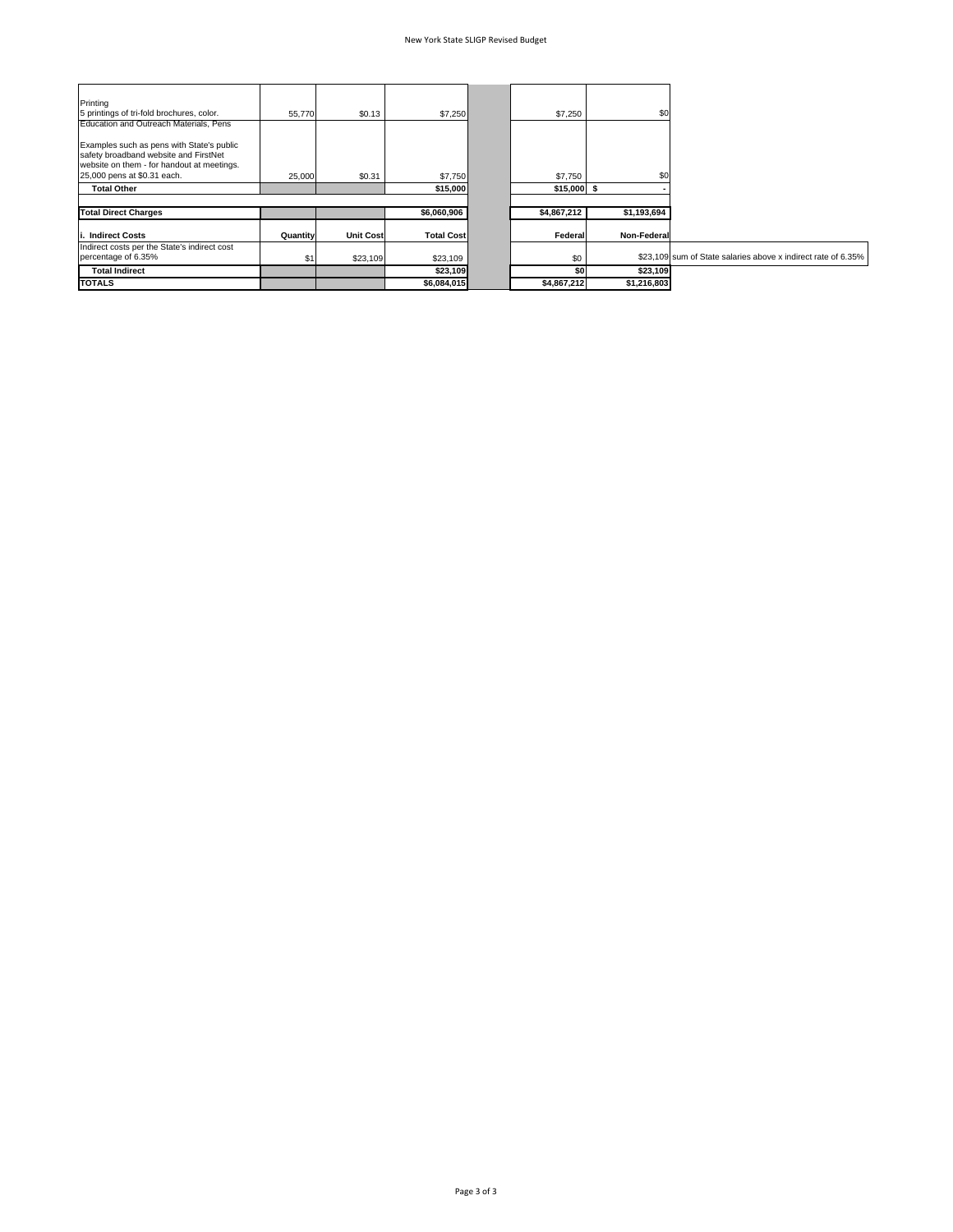| Printing<br>5 printings of tri-fold brochures, color.                                                                                                           | 55,770   | \$0.13           | \$7,250           | \$7,250      | \$0         |                                                               |
|-----------------------------------------------------------------------------------------------------------------------------------------------------------------|----------|------------------|-------------------|--------------|-------------|---------------------------------------------------------------|
| Education and Outreach Materials, Pens                                                                                                                          |          |                  |                   |              |             |                                                               |
| Examples such as pens with State's public<br>safety broadband website and FirstNet<br>website on them - for handout at meetings.<br>25,000 pens at \$0.31 each. | 25,000   | \$0.31           | \$7,750           | \$7,750      | \$C         |                                                               |
| <b>Total Other</b>                                                                                                                                              |          |                  | \$15,000          | $$15,000$ \$ |             |                                                               |
|                                                                                                                                                                 |          |                  |                   |              |             |                                                               |
| <b>Total Direct Charges</b>                                                                                                                                     |          |                  | \$6,060,906       | \$4,867,212  | \$1,193,694 |                                                               |
| . Indirect Costs                                                                                                                                                | Quantity | <b>Unit Cost</b> | <b>Total Cost</b> | Federal      | Non-Federal |                                                               |
| Indirect costs per the State's indirect cost<br>percentage of 6.35%                                                                                             |          | \$23,109         | \$23,109          | \$0          |             | \$23.109 sum of State salaries above x indirect rate of 6.35% |
| <b>Total Indirect</b>                                                                                                                                           |          |                  | \$23,109          | \$0          | \$23,109    |                                                               |
| <b>TOTALS</b>                                                                                                                                                   |          |                  | \$6,084,015       | \$4,867,212  | \$1,216,803 |                                                               |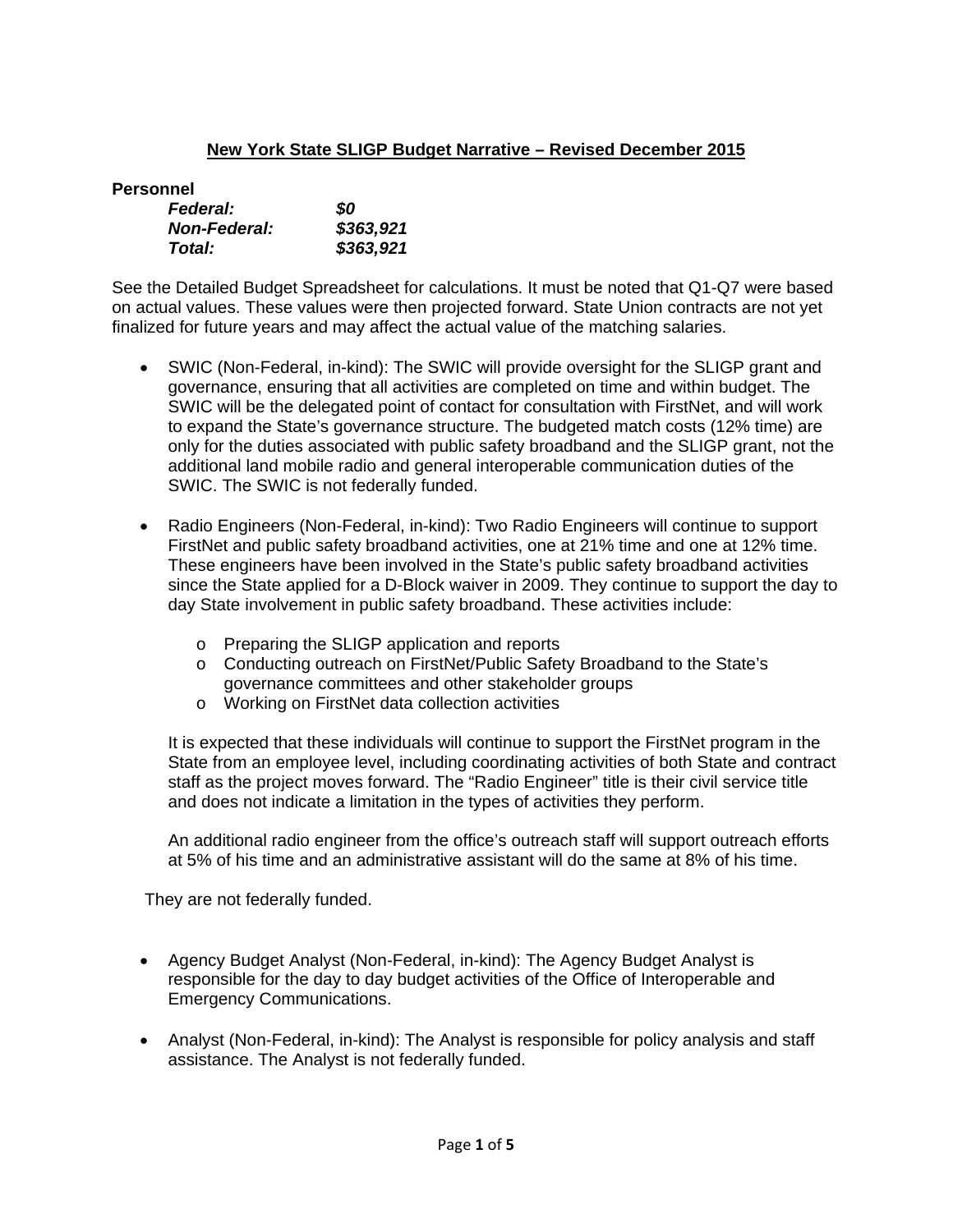# **New York State SLIGP Budget Narrative – Revised December 2015**

**Personnel** 

| <b>Federal:</b>     | SO        |
|---------------------|-----------|
| <b>Non-Federal:</b> | \$363,921 |
| Total:              | \$363,921 |

See the Detailed Budget Spreadsheet for calculations. It must be noted that Q1-Q7 were based on actual values. These values were then projected forward. State Union contracts are not yet finalized for future years and may affect the actual value of the matching salaries.

- SWIC (Non-Federal, in-kind): The SWIC will provide oversight for the SLIGP grant and governance, ensuring that all activities are completed on time and within budget. The SWIC will be the delegated point of contact for consultation with FirstNet, and will work to expand the State's governance structure. The budgeted match costs (12% time) are only for the duties associated with public safety broadband and the SLIGP grant, not the additional land mobile radio and general interoperable communication duties of the SWIC. The SWIC is not federally funded.
- Radio Engineers (Non-Federal, in-kind): Two Radio Engineers will continue to support FirstNet and public safety broadband activities, one at 21% time and one at 12% time. These engineers have been involved in the State's public safety broadband activities since the State applied for a D-Block waiver in 2009. They continue to support the day to day State involvement in public safety broadband. These activities include:
	- o Preparing the SLIGP application and reports
	- o Conducting outreach on FirstNet/Public Safety Broadband to the State's governance committees and other stakeholder groups
	- o Working on FirstNet data collection activities

It is expected that these individuals will continue to support the FirstNet program in the State from an employee level, including coordinating activities of both State and contract staff as the project moves forward. The "Radio Engineer" title is their civil service title and does not indicate a limitation in the types of activities they perform.

An additional radio engineer from the office's outreach staff will support outreach efforts at 5% of his time and an administrative assistant will do the same at 8% of his time.

They are not federally funded.

- Agency Budget Analyst (Non-Federal, in-kind): The Agency Budget Analyst is responsible for the day to day budget activities of the Office of Interoperable and Emergency Communications.
- Analyst (Non-Federal, in-kind): The Analyst is responsible for policy analysis and staff assistance. The Analyst is not federally funded.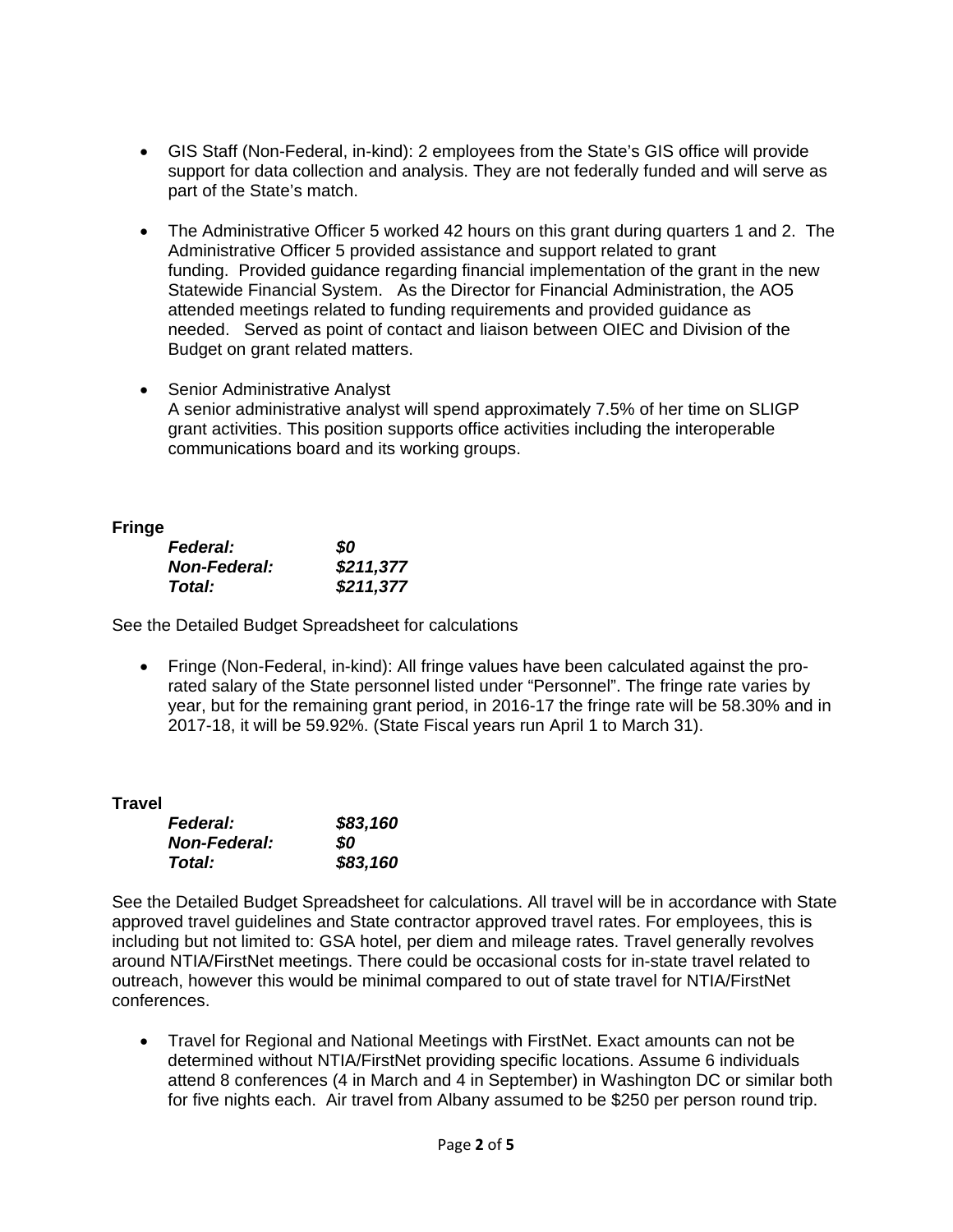- GIS Staff (Non-Federal, in-kind): 2 employees from the State's GIS office will provide support for data collection and analysis. They are not federally funded and will serve as part of the State's match.
- The Administrative Officer 5 worked 42 hours on this grant during quarters 1 and 2. The Administrative Officer 5 provided assistance and support related to grant funding. Provided guidance regarding financial implementation of the grant in the new Statewide Financial System. As the Director for Financial Administration, the AO5 attended meetings related to funding requirements and provided guidance as needed. Served as point of contact and liaison between OIEC and Division of the Budget on grant related matters.
- Senior Administrative Analyst A senior administrative analyst will spend approximately 7.5% of her time on SLIGP grant activities. This position supports office activities including the interoperable communications board and its working groups.

# **Fringe**

| <b>Federal:</b>     | 80        |
|---------------------|-----------|
| <b>Non-Federal:</b> | \$211,377 |
| Total:              | \$211,377 |

See the Detailed Budget Spreadsheet for calculations

 Fringe (Non-Federal, in-kind): All fringe values have been calculated against the prorated salary of the State personnel listed under "Personnel". The fringe rate varies by year, but for the remaining grant period, in 2016-17 the fringe rate will be 58.30% and in 2017-18, it will be 59.92%. (State Fiscal years run April 1 to March 31).

# **Travel**

| <b>Federal:</b>     | \$83,160 |
|---------------------|----------|
| <b>Non-Federal:</b> | SO.      |
| Total:              | \$83,160 |

See the Detailed Budget Spreadsheet for calculations. All travel will be in accordance with State approved travel guidelines and State contractor approved travel rates. For employees, this is including but not limited to: GSA hotel, per diem and mileage rates. Travel generally revolves around NTIA/FirstNet meetings. There could be occasional costs for in-state travel related to outreach, however this would be minimal compared to out of state travel for NTIA/FirstNet conferences.

 Travel for Regional and National Meetings with FirstNet. Exact amounts can not be determined without NTIA/FirstNet providing specific locations. Assume 6 individuals attend 8 conferences (4 in March and 4 in September) in Washington DC or similar both for five nights each. Air travel from Albany assumed to be \$250 per person round trip.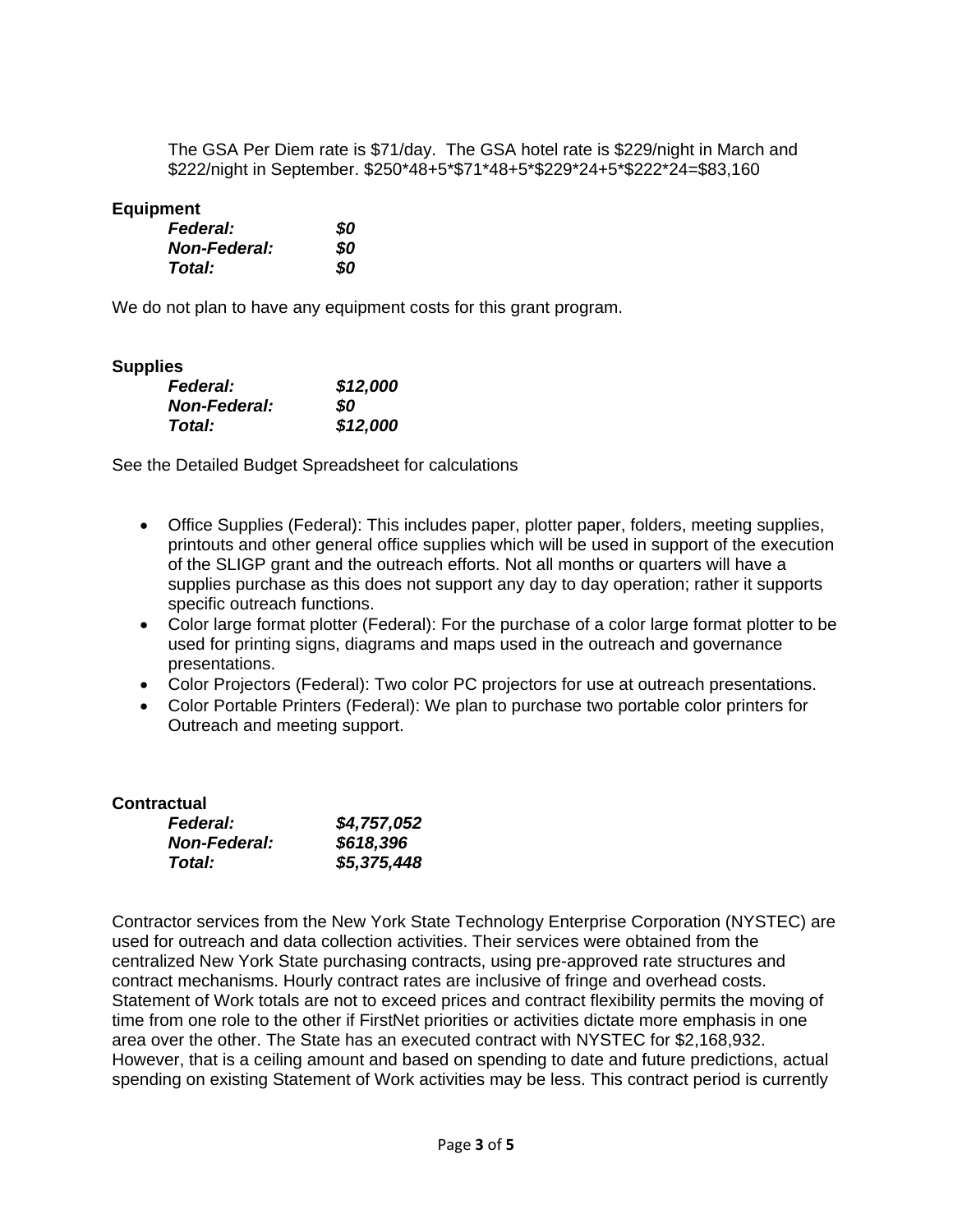The GSA Per Diem rate is \$71/day. The GSA hotel rate is \$229/night in March and \$222/night in September. \$250\*48+5\*\$71\*48+5\*\$229\*24+5\*\$222\*24=\$83,160

## **Equipment**

| <b>Federal:</b>     | 80 |
|---------------------|----|
| <b>Non-Federal:</b> | 80 |
| Total:              | 80 |

We do not plan to have any equipment costs for this grant program.

### **Supplies**

| - - - - | <b>Federal:</b>     | \$12,000 |
|---------|---------------------|----------|
|         | <b>Non-Federal:</b> | SO.      |
|         | Total:              | \$12,000 |

See the Detailed Budget Spreadsheet for calculations

- Office Supplies (Federal): This includes paper, plotter paper, folders, meeting supplies, printouts and other general office supplies which will be used in support of the execution of the SLIGP grant and the outreach efforts. Not all months or quarters will have a supplies purchase as this does not support any day to day operation; rather it supports specific outreach functions.
- Color large format plotter (Federal): For the purchase of a color large format plotter to be used for printing signs, diagrams and maps used in the outreach and governance presentations.
- Color Projectors (Federal): Two color PC projectors for use at outreach presentations.
- Color Portable Printers (Federal): We plan to purchase two portable color printers for Outreach and meeting support.

| <b>Contractual</b>  |             |
|---------------------|-------------|
| <b>Federal:</b>     | \$4,757,052 |
| <b>Non-Federal:</b> | \$618,396   |
| Total:              | \$5,375,448 |

Contractor services from the New York State Technology Enterprise Corporation (NYSTEC) are used for outreach and data collection activities. Their services were obtained from the centralized New York State purchasing contracts, using pre-approved rate structures and contract mechanisms. Hourly contract rates are inclusive of fringe and overhead costs. Statement of Work totals are not to exceed prices and contract flexibility permits the moving of time from one role to the other if FirstNet priorities or activities dictate more emphasis in one area over the other. The State has an executed contract with NYSTEC for \$2,168,932. However, that is a ceiling amount and based on spending to date and future predictions, actual spending on existing Statement of Work activities may be less. This contract period is currently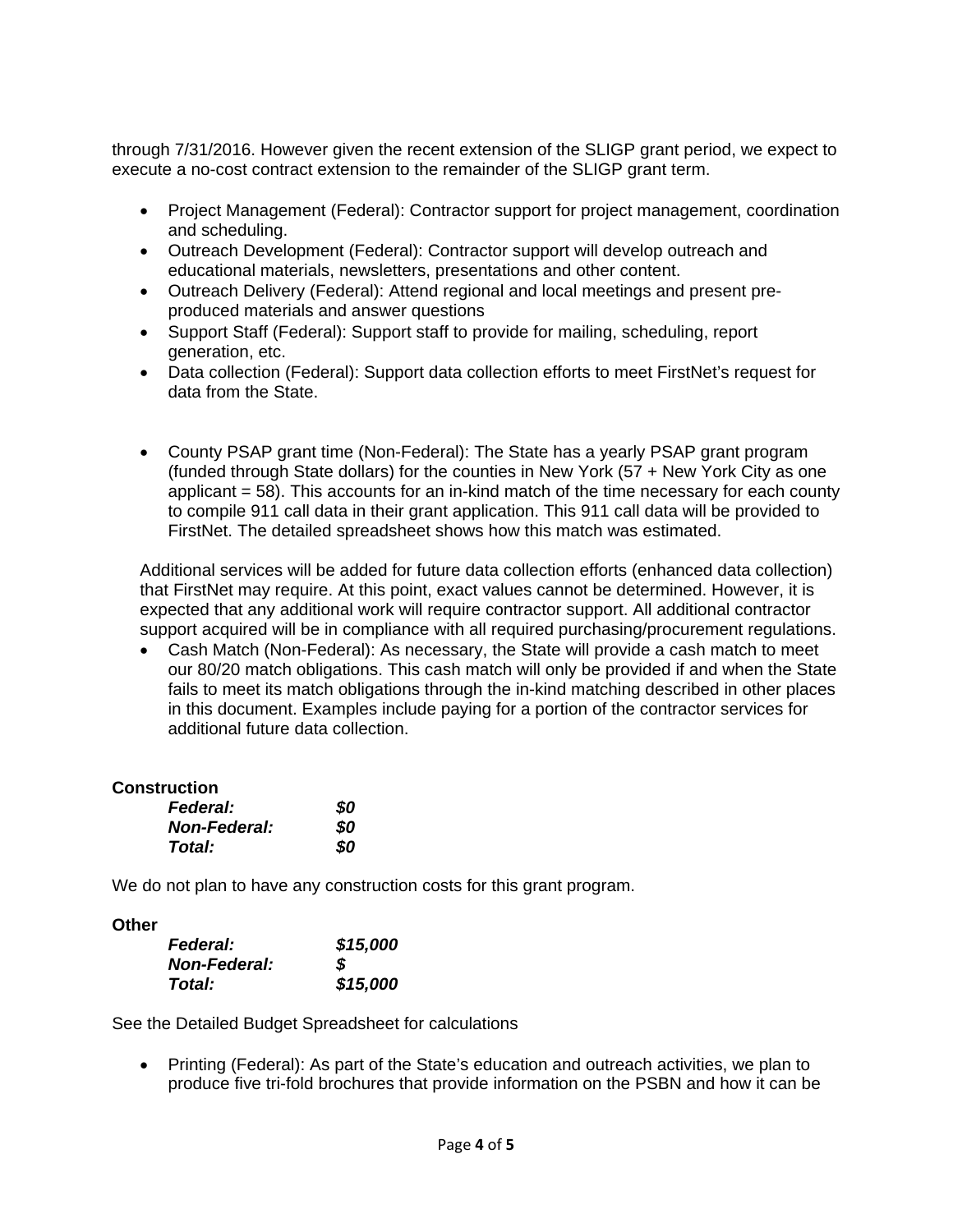through 7/31/2016. However given the recent extension of the SLIGP grant period, we expect to execute a no-cost contract extension to the remainder of the SLIGP grant term.

- Project Management (Federal): Contractor support for project management, coordination and scheduling.
- Outreach Development (Federal): Contractor support will develop outreach and educational materials, newsletters, presentations and other content.
- Outreach Delivery (Federal): Attend regional and local meetings and present preproduced materials and answer questions
- Support Staff (Federal): Support staff to provide for mailing, scheduling, report generation, etc.
- Data collection (Federal): Support data collection efforts to meet FirstNet's request for data from the State.
- County PSAP grant time (Non-Federal): The State has a yearly PSAP grant program (funded through State dollars) for the counties in New York (57 + New York City as one applicant  $= 58$ ). This accounts for an in-kind match of the time necessary for each county to compile 911 call data in their grant application. This 911 call data will be provided to FirstNet. The detailed spreadsheet shows how this match was estimated.

Additional services will be added for future data collection efforts (enhanced data collection) that FirstNet may require. At this point, exact values cannot be determined. However, it is expected that any additional work will require contractor support. All additional contractor support acquired will be in compliance with all required purchasing/procurement regulations.

 Cash Match (Non-Federal): As necessary, the State will provide a cash match to meet our 80/20 match obligations. This cash match will only be provided if and when the State fails to meet its match obligations through the in-kind matching described in other places in this document. Examples include paying for a portion of the contractor services for additional future data collection.

# **Construction**

| <b>Federal:</b>     | 80 |
|---------------------|----|
| <b>Non-Federal:</b> | 80 |
| Total:              | 80 |

We do not plan to have any construction costs for this grant program.

**Other** 

| <b>Federal:</b>     | \$15,000 |
|---------------------|----------|
| <b>Non-Federal:</b> | S        |
| Total:              | \$15,000 |

See the Detailed Budget Spreadsheet for calculations

 Printing (Federal): As part of the State's education and outreach activities, we plan to produce five tri-fold brochures that provide information on the PSBN and how it can be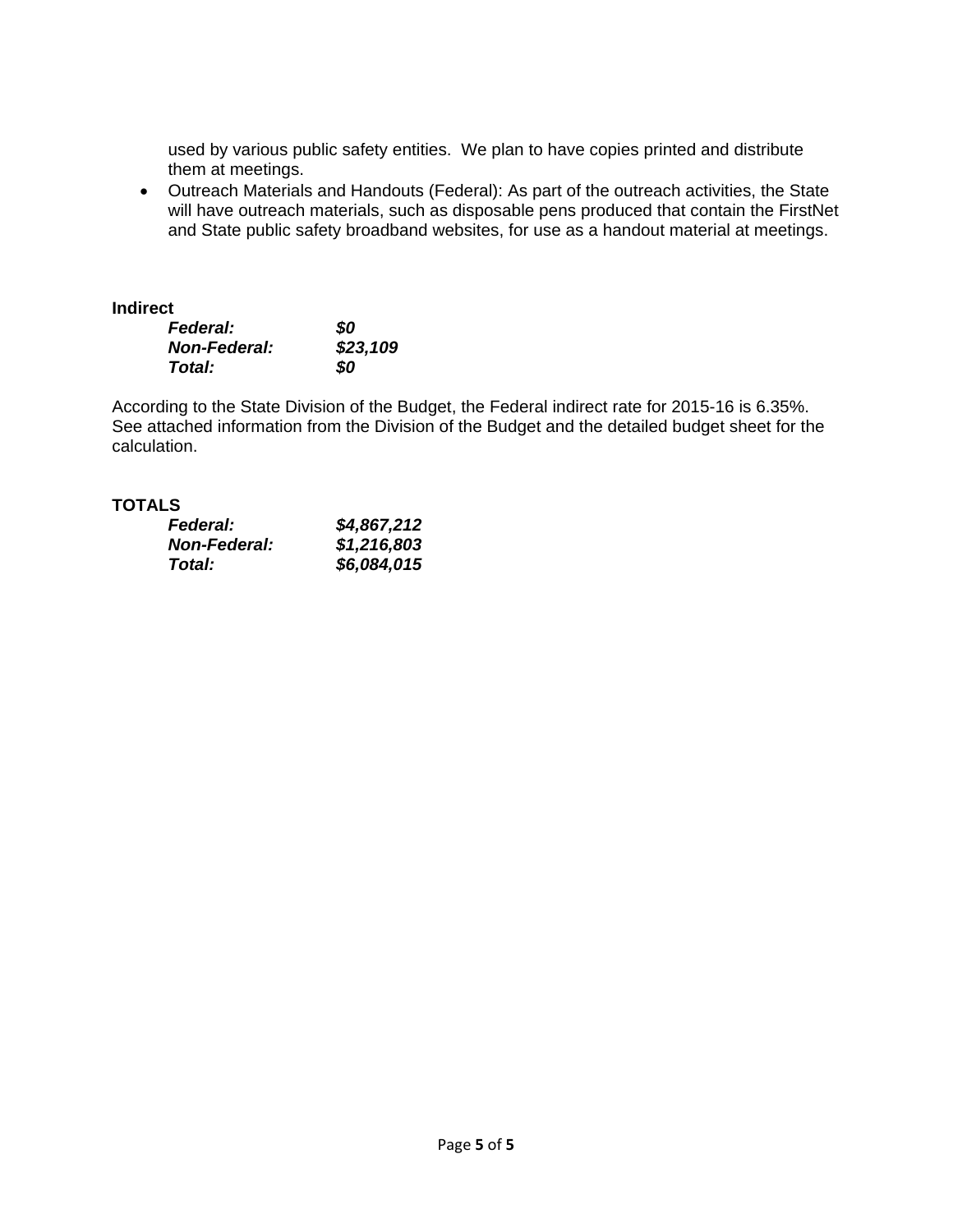used by various public safety entities. We plan to have copies printed and distribute them at meetings.

 Outreach Materials and Handouts (Federal): As part of the outreach activities, the State will have outreach materials, such as disposable pens produced that contain the FirstNet and State public safety broadband websites, for use as a handout material at meetings.

## **Indirect**

| <b>Federal:</b>     | 80       |
|---------------------|----------|
| <b>Non-Federal:</b> | \$23,109 |
| Total:              | 80       |

According to the State Division of the Budget, the Federal indirect rate for 2015-16 is 6.35%. See attached information from the Division of the Budget and the detailed budget sheet for the calculation.

## **TOTALS**

| <b>Federal:</b>     | \$4,867,212 |
|---------------------|-------------|
| <b>Non-Federal:</b> | \$1,216,803 |
| Total:              | \$6,084,015 |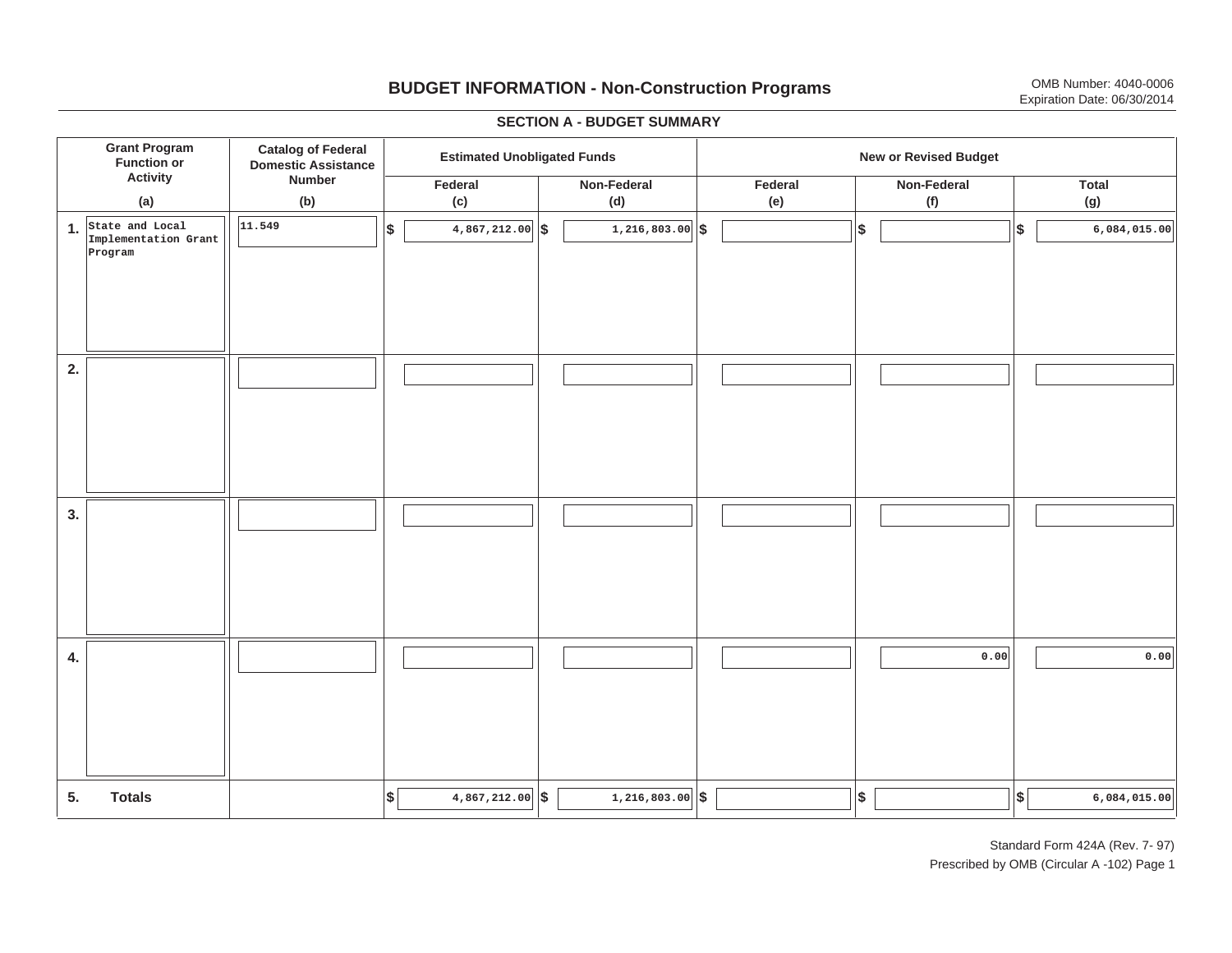# **BUDGET INFORMATION - Non-Construction Programs** OMB Number: 4040-0006 Expiration Date: 06/30/2014

**\$ Grant Program Function or Activity (a) Catalog of Federal Domestic Assistance Number (b) Estimated Unobligated Funds New or Revised Budget Federal(c) Non-Federal(d) Federal(e) Non-Federal(f) Total(g) 5. Totals4. 3. 2. 1.State and Local \$\$\$\$**  $\frac{1}{8}$  **1.216,803.00 \$ 1.216,803.00 \$ \$ Implementation Grant Program 11.549 4,867,212.00 1,216,803.00 6,084,015.00 0.00 0.00 4,867,212.00 1,216,803.00 6,084,015.00**

### **SECTION A - BUDGET SUMMARY**

Standard Form 424A (Rev. 7- 97) Prescribed by OMB (Circular A -102) Page 1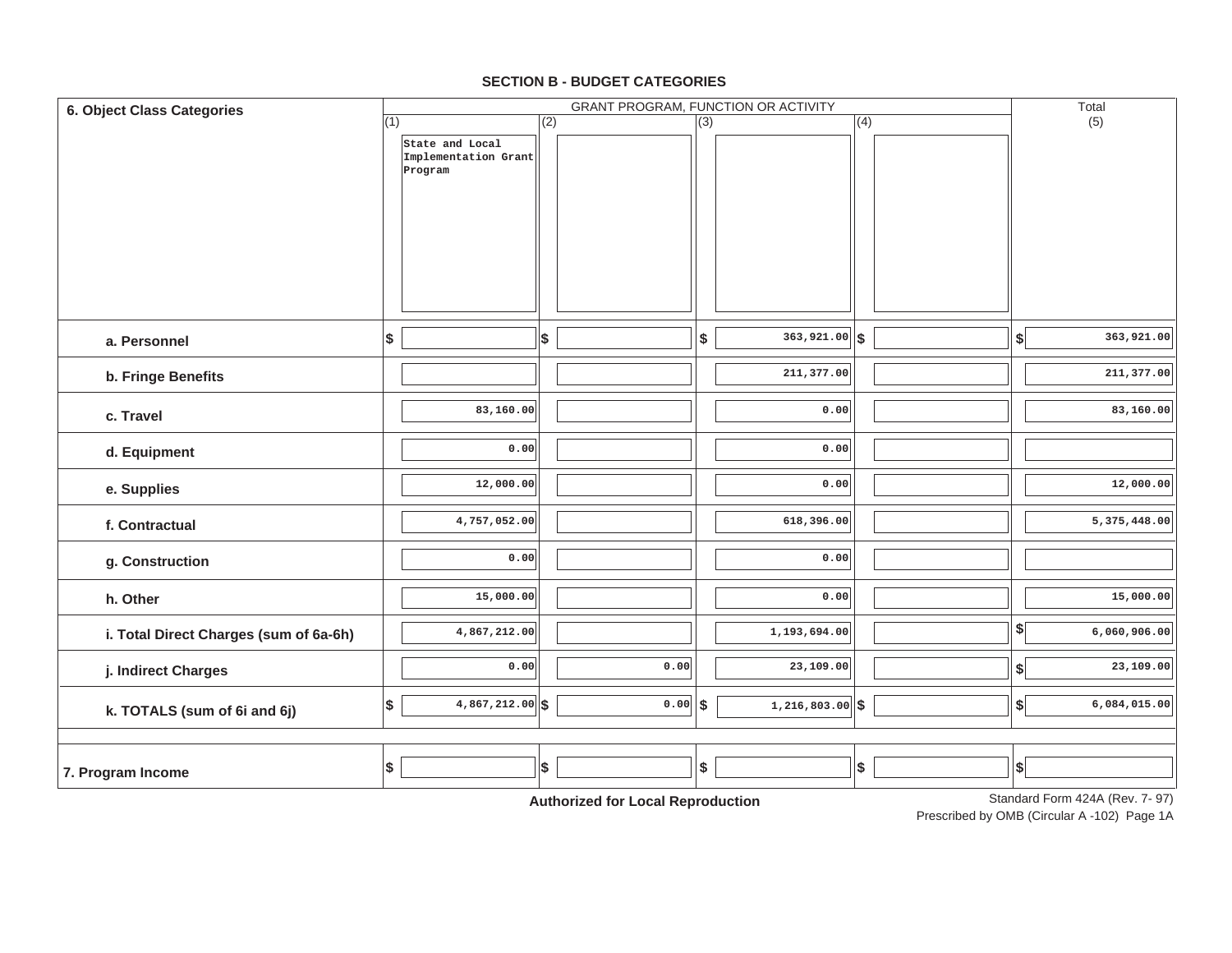| <b>6. Object Class Categories</b>      |                                 |                                   | <b>GRANT PROGRAM, FUNCTION OR ACTIVITY</b> |     | Total                                      |
|----------------------------------------|---------------------------------|-----------------------------------|--------------------------------------------|-----|--------------------------------------------|
|                                        | (1)                             | (2)                               | (3)                                        | (4) | (5)                                        |
|                                        | State and Local                 |                                   |                                            |     |                                            |
|                                        | Implementation Grant<br>Program |                                   |                                            |     |                                            |
|                                        |                                 |                                   |                                            |     |                                            |
|                                        |                                 |                                   |                                            |     |                                            |
|                                        |                                 |                                   |                                            |     |                                            |
|                                        |                                 |                                   |                                            |     |                                            |
|                                        |                                 |                                   |                                            |     |                                            |
|                                        |                                 |                                   |                                            |     |                                            |
|                                        |                                 |                                   |                                            |     |                                            |
|                                        |                                 |                                   |                                            |     |                                            |
| a. Personnel                           | \$                              | \$                                | $363,921.00$ \$<br>\$                      |     | 363,921.00<br>$\left  \frac{1}{2} \right $ |
|                                        |                                 |                                   |                                            |     |                                            |
| b. Fringe Benefits                     |                                 |                                   | 211,377.00                                 |     | 211,377.00                                 |
| c. Travel                              | 83,160.00                       |                                   | 0.00                                       |     | 83,160.00                                  |
|                                        |                                 |                                   |                                            |     |                                            |
| d. Equipment                           | 0.00                            |                                   | 0.00                                       |     |                                            |
|                                        |                                 |                                   |                                            |     |                                            |
| e. Supplies                            | 12,000.00                       |                                   | 0.00                                       |     | 12,000.00                                  |
|                                        | 4,757,052.00                    |                                   | 618,396.00                                 |     | 5,375,448.00                               |
| f. Contractual                         |                                 |                                   |                                            |     |                                            |
| g. Construction                        | 0.00                            |                                   | 0.00                                       |     |                                            |
|                                        |                                 |                                   |                                            |     |                                            |
| h. Other                               | 15,000.00                       |                                   | 0.00                                       |     | 15,000.00                                  |
|                                        |                                 |                                   |                                            |     |                                            |
| i. Total Direct Charges (sum of 6a-6h) | 4,867,212.00                    |                                   | 1,193,694.00                               |     | $\frac{1}{2}$<br>6,060,906.00              |
|                                        | 0.00                            | 0.00                              | 23,109.00                                  |     | 23,109.00<br>$\boldsymbol{\mathsf{s}}$     |
| j. Indirect Charges                    |                                 |                                   |                                            |     |                                            |
|                                        | \$<br>$4,867,212.00$ \$         | 0.00                              | $1,216,803.00$ \$<br> \$                   |     | $\left  \right\rangle$<br>6,084,015.00     |
| k. TOTALS (sum of 6i and 6j)           |                                 |                                   |                                            |     |                                            |
|                                        |                                 |                                   |                                            |     |                                            |
|                                        | \$                              | \$                                | \$                                         | \$  | $\vert$ \$                                 |
| 7. Program Income                      |                                 |                                   |                                            |     |                                            |
|                                        |                                 | Authorized for Local Deproduction |                                            |     | Standard Form 424A (Rev. 7-97)             |

### **SECTION B - BUDGET CATEGORIES**

**Authorized for Local Reproduction**

Standard Form 424A (Rev. 7- 97)

Prescribed by OMB (Circular A -102) Page 1A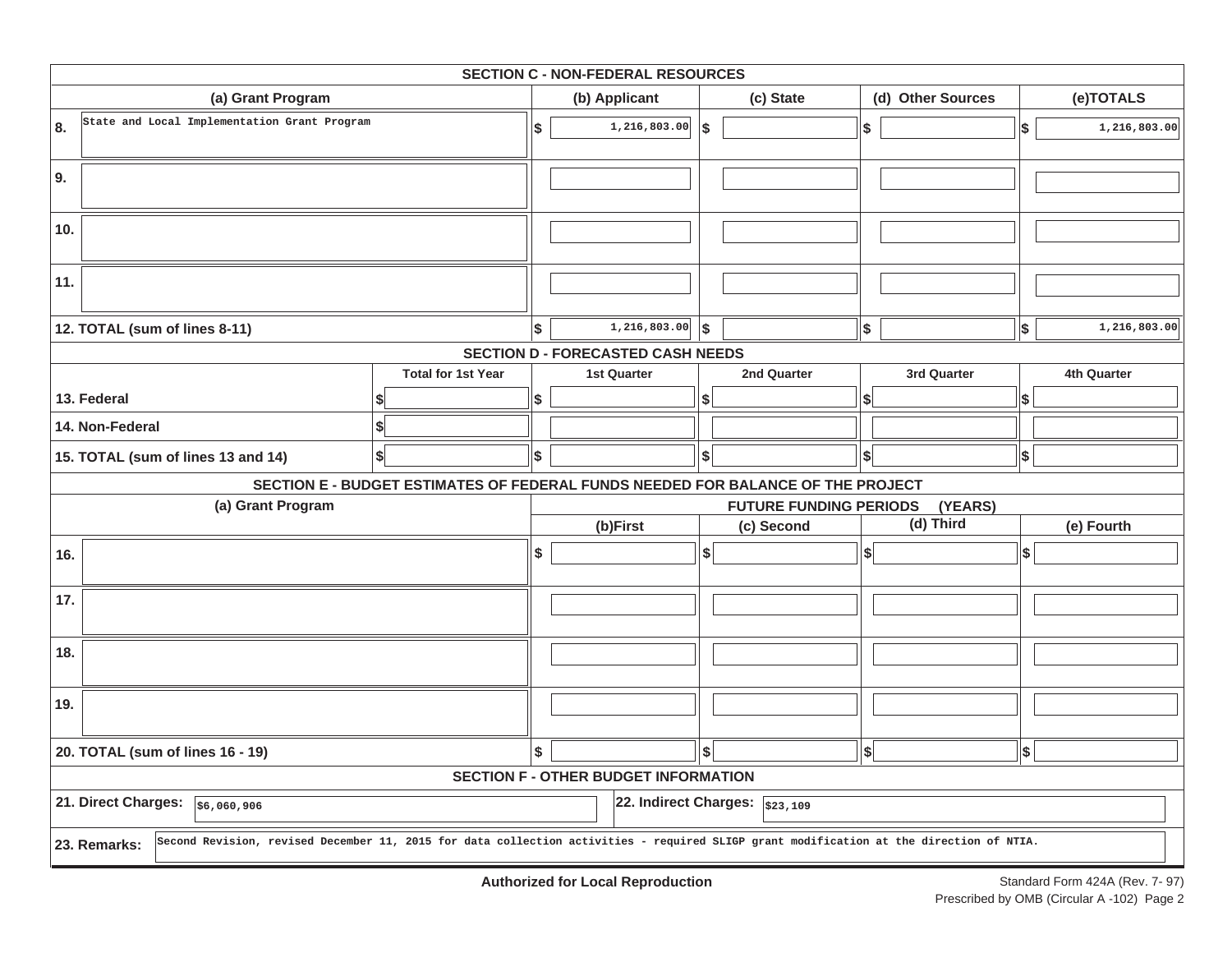|     |                                              |                                                                                 | <b>SECTION C - NON-FEDERAL RESOURCES</b>    |                           |                                |                        |                   |            |              |  |  |  |  |  |  |  |
|-----|----------------------------------------------|---------------------------------------------------------------------------------|---------------------------------------------|---------------------------|--------------------------------|------------------------|-------------------|------------|--------------|--|--|--|--|--|--|--|
|     | (a) Grant Program                            |                                                                                 | (b) Applicant                               |                           | (c) State                      |                        | (d) Other Sources |            | (e)TOTALS    |  |  |  |  |  |  |  |
| 8.  | State and Local Implementation Grant Program |                                                                                 | \$<br>1,216,803.00                          | $\boldsymbol{\mathsf{s}}$ |                                | $\sqrt{2}$             |                   | \$         | 1,216,803.00 |  |  |  |  |  |  |  |
| 9.  |                                              |                                                                                 |                                             |                           |                                |                        |                   |            |              |  |  |  |  |  |  |  |
| 10. |                                              |                                                                                 |                                             |                           |                                |                        |                   |            |              |  |  |  |  |  |  |  |
| 11. |                                              |                                                                                 |                                             |                           |                                |                        |                   |            |              |  |  |  |  |  |  |  |
|     | 12. TOTAL (sum of lines 8-11)                |                                                                                 | \$<br>1,216,803.00                          | l\$                       |                                | \$                     |                   | \$         | 1,216,803.00 |  |  |  |  |  |  |  |
|     |                                              |                                                                                 | <b>SECTION D - FORECASTED CASH NEEDS</b>    |                           |                                |                        |                   |            |              |  |  |  |  |  |  |  |
|     |                                              | <b>Total for 1st Year</b>                                                       | <b>1st Quarter</b>                          |                           | 2nd Quarter                    |                        | 3rd Quarter       |            | 4th Quarter  |  |  |  |  |  |  |  |
|     | 13. Federal                                  |                                                                                 | \$                                          | \$                        |                                | \$l                    |                   | \$         |              |  |  |  |  |  |  |  |
|     | 14. Non-Federal                              | \$                                                                              |                                             |                           |                                |                        |                   |            |              |  |  |  |  |  |  |  |
|     | 15. TOTAL (sum of lines 13 and 14)           | \$                                                                              | \$                                          | $\boldsymbol{\mathsf{S}}$ |                                | \$                     |                   | \$         |              |  |  |  |  |  |  |  |
|     |                                              | SECTION E - BUDGET ESTIMATES OF FEDERAL FUNDS NEEDED FOR BALANCE OF THE PROJECT |                                             |                           |                                |                        |                   |            |              |  |  |  |  |  |  |  |
|     | (a) Grant Program                            |                                                                                 |                                             |                           | <b>FUTURE FUNDING PERIODS</b>  |                        | (YEARS)           |            |              |  |  |  |  |  |  |  |
|     |                                              |                                                                                 | (b)First                                    |                           | (c) Second                     |                        | (d) Third         |            | (e) Fourth   |  |  |  |  |  |  |  |
| 16. |                                              |                                                                                 | \$                                          | $\boldsymbol{\hat{s}}$    |                                | $\left  \cdot \right $ |                   | $ \$$      |              |  |  |  |  |  |  |  |
| 17. |                                              |                                                                                 |                                             |                           |                                |                        |                   |            |              |  |  |  |  |  |  |  |
| 18. |                                              |                                                                                 |                                             |                           |                                |                        |                   |            |              |  |  |  |  |  |  |  |
| 19. |                                              |                                                                                 |                                             |                           |                                |                        |                   |            |              |  |  |  |  |  |  |  |
|     | 20. TOTAL (sum of lines 16 - 19)             |                                                                                 | \$                                          | $\hat{\mathbf{s}}$        |                                | $\left  \right $       |                   | $\vert$ \$ |              |  |  |  |  |  |  |  |
|     |                                              |                                                                                 | <b>SECTION F - OTHER BUDGET INFORMATION</b> |                           |                                |                        |                   |            |              |  |  |  |  |  |  |  |
|     | 21. Direct Charges:<br>56,060,906            |                                                                                 |                                             |                           | 22. Indirect Charges: \$23,109 |                        |                   |            |              |  |  |  |  |  |  |  |
|     |                                              |                                                                                 |                                             |                           |                                |                        |                   |            |              |  |  |  |  |  |  |  |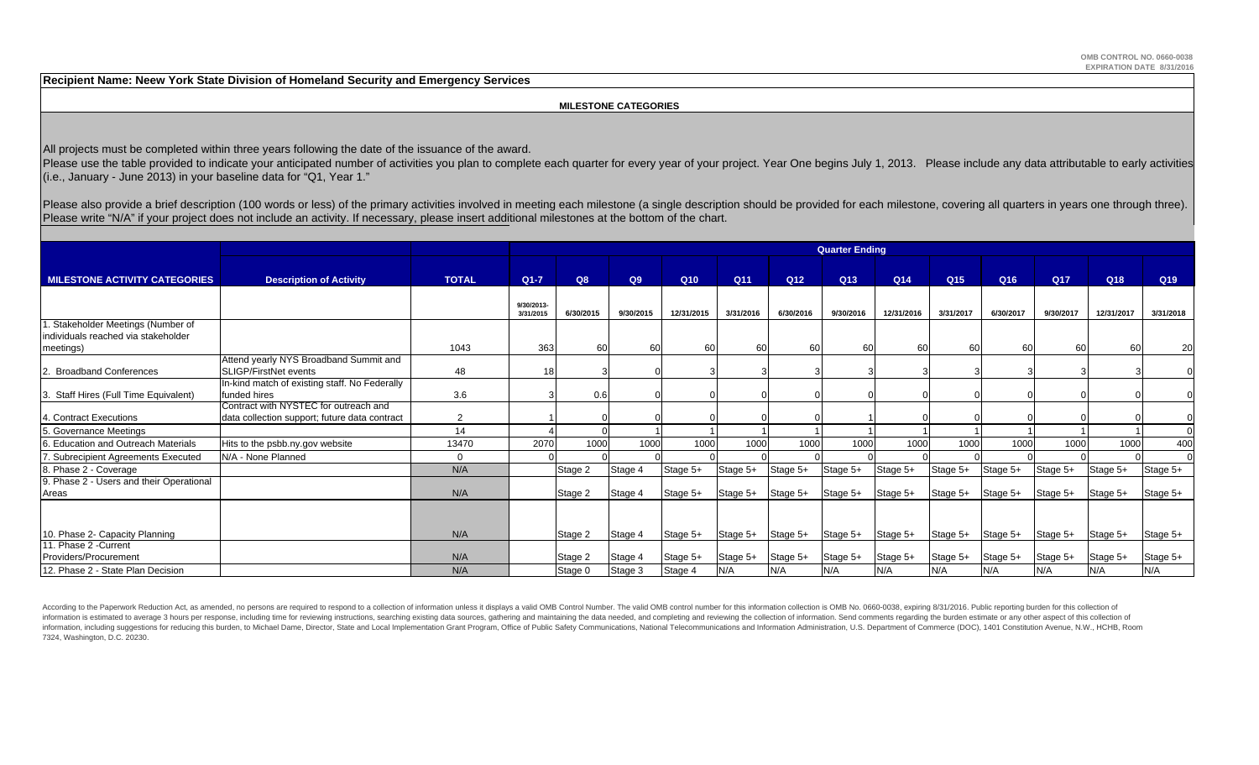**Recipient Name: Neew York State Division of Homeland Security and Emergency Services**

### **MILESTONE CATEGORIES**

All projects must be completed within three years following the date of the issuance of the award.

Please use the table provided to indicate your anticipated number of activities you plan to complete each quarter for every year of your project. Year One begins July 1, 2013. Please include any data attributable to early (i.e., January - June 2013) in your baseline data for "Q1, Year 1."

Please also provide a brief description (100 words or less) of the primary activities involved in meeting each milestone (a single description should be provided for each milestone, covering all quarters in years one throu Please write "N/A" if your project does not include an activity. If necessary, please insert additional milestones at the bottom of the chart.

|                                                                           |                                                                                        |                | <b>Quarter Ending</b>   |           |           |            |           |                 |           |                 |                 |                 |                 |            |                 |  |
|---------------------------------------------------------------------------|----------------------------------------------------------------------------------------|----------------|-------------------------|-----------|-----------|------------|-----------|-----------------|-----------|-----------------|-----------------|-----------------|-----------------|------------|-----------------|--|
|                                                                           |                                                                                        |                |                         |           |           |            |           |                 |           |                 |                 |                 |                 |            |                 |  |
| <b>MILESTONE ACTIVITY CATEGORIES</b>                                      | <b>Description of Activity</b>                                                         | <b>TOTAL</b>   | $Q1-7$                  | Q8        | Q9        | Q10        | Q11       | Q <sub>12</sub> | Q13       | Q <sub>14</sub> | Q <sub>15</sub> | Q <sub>16</sub> | Q <sub>17</sub> | Q18        | Q <sub>19</sub> |  |
|                                                                           |                                                                                        |                | 9/30/2013-<br>3/31/2015 | 6/30/2015 | 9/30/2015 | 12/31/2015 | 3/31/2016 | 6/30/2016       | 9/30/2016 | 12/31/2016      | 3/31/2017       | 6/30/2017       | 9/30/2017       | 12/31/2017 | 3/31/2018       |  |
| 1. Stakeholder Meetings (Number of<br>individuals reached via stakeholder |                                                                                        |                |                         |           |           |            |           |                 |           |                 |                 |                 |                 |            |                 |  |
| meetings)                                                                 |                                                                                        | 1043           | 363                     | 60        | 60        | 60         | 60        | 60              | 60        | 60              | 60              | -60             | 60              | 60         | 20              |  |
| 2. Broadband Conferences                                                  | Attend yearly NYS Broadband Summit and<br>SLIGP/FirstNet events                        | 48             | 18                      |           |           |            |           |                 |           |                 |                 |                 |                 |            |                 |  |
| 3. Staff Hires (Full Time Equivalent)                                     | In-kind match of existing staff. No Federally<br>funded hires                          | 3.6            |                         | 0.6       |           |            |           |                 |           |                 |                 |                 |                 |            |                 |  |
| 4. Contract Executions                                                    | Contract with NYSTEC for outreach and<br>data collection support; future data contract | $\overline{2}$ |                         |           |           |            |           |                 |           |                 |                 |                 |                 |            |                 |  |
| 5. Governance Meetings                                                    |                                                                                        | 14             |                         |           |           |            |           |                 |           |                 |                 |                 |                 |            |                 |  |
| 6. Education and Outreach Materials                                       | Hits to the psbb.ny.gov website                                                        | 13470          | 2070                    | 1000      | 1000      | 1000       | 1000      | 1000            | 1000      | 1000            | 1000            | 1000            | 1000            | 1000       | 400             |  |
| 7. Subrecipient Agreements Executed                                       | N/A - None Planned                                                                     | $\overline{0}$ |                         |           |           |            |           |                 |           |                 |                 |                 |                 |            |                 |  |
| 8. Phase 2 - Coverage                                                     |                                                                                        | N/A            |                         | Stage 2   | Stage 4   | Stage 5+   | Stage 5+  | Stage 5+        | Stage 5+  | Stage 5+        | Stage 5+        | Stage 5+        | Stage 5+        | Stage 5+   | Stage 5+        |  |
| 9. Phase 2 - Users and their Operational<br>Areas                         |                                                                                        | N/A            |                         | Stage 2   | Stage 4   | Stage 5+   | Stage 5+  | Stage 5+        | Stage 5+  | Stage 5+        | Stage 5+        | Stage 5+        | Stage 5+        | Stage 5+   | Stage 5+        |  |
|                                                                           |                                                                                        |                |                         |           |           |            |           |                 |           |                 |                 |                 |                 |            |                 |  |
| 10. Phase 2- Capacity Planning                                            |                                                                                        | N/A            |                         | Stage 2   | Stage 4   | Stage 5+   | Stage 5+  | Stage 5+        | Stage 5+  | Stage 5+        | Stage 5+        | Stage 5+        | Stage 5+        | Stage 5+   | Stage 5+        |  |
| 11. Phase 2 - Current<br>Providers/Procurement                            |                                                                                        | N/A            |                         | Stage 2   | Stage 4   | Stage 5+   | Stage 5+  | Stage 5+        | Stage 5+  | Stage 5+        | Stage 5+        | Stage 5+        | Stage 5+        | Stage 5+   | Stage 5+        |  |
| 12. Phase 2 - State Plan Decision                                         |                                                                                        | N/A            |                         | Stage 0   | Stage 3   | Stage 4    | N/A       | N/A             | N/A       | N/A             | N/A             | N/A             | N/A             | N/A        | N/A             |  |

According to the Paperwork Reduction Act, as amended, no persons are required to respond to a collection of information unless it displays a valid OMB Control Number. The valid OMB control number for this information colle information is estimated to average 3 hours per response, including time for reviewing instructions, searching existing data sources, gathering and maintaining the data needed, and completing and reviewing the collection o information, including suggestions for reducing this burden, to Michael Dame, Director, State and Local Implementation Grant Program, Office of Public Safety Communications, National Telecommunications and Information Admi 7324, Washington, D.C. 20230.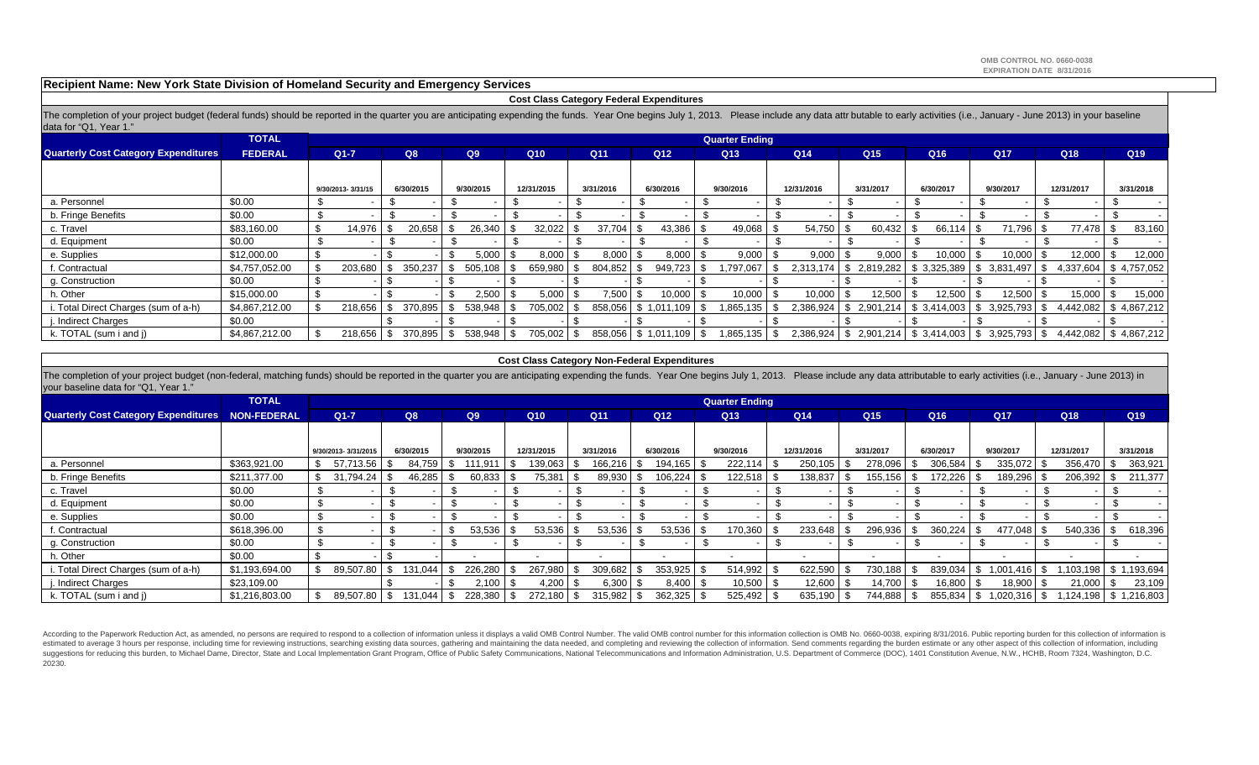**Recipient Name: New York State Division of Homeland Security and Emergency Services**

### **Cost Class Category Federal Expenditures**

The completion of your project budget (federal funds) should be reported in the quarter you are anticipating expending the funds. Year One begins July 1, 2013. Please include any data attr butable to early activities (i.e. data for "Q1, Year 1."

|                                             | <b>TOTAL</b>   |                   |     |           |               |      |            |  |                 |                 |                |  | <b>Quarter Ending</b> |      |                 |  |                 |  |              |    |                                                               |            |                       |           |                 |
|---------------------------------------------|----------------|-------------------|-----|-----------|---------------|------|------------|--|-----------------|-----------------|----------------|--|-----------------------|------|-----------------|--|-----------------|--|--------------|----|---------------------------------------------------------------|------------|-----------------------|-----------|-----------------|
| <b>Quarterly Cost Category Expenditures</b> | <b>FEDERAL</b> | $Q1 - 7$          | Q8  |           | Q9            |      | Q10        |  | Q <sub>11</sub> | Q <sub>12</sub> |                |  | Q13                   |      | Q <sub>14</sub> |  | Q <sub>15</sub> |  | Q16          |    | Q <sub>17</sub>                                               |            | Q18                   |           | Q <sub>19</sub> |
|                                             |                |                   |     |           |               |      |            |  |                 |                 |                |  |                       |      |                 |  |                 |  |              |    |                                                               |            |                       |           |                 |
|                                             |                | 9/30/2013-3/31/15 |     | 6/30/2015 | 9/30/2015     |      | 12/31/2015 |  | 3/31/2016       |                 | 6/30/2016      |  | 9/30/2016             |      | 12/31/2016      |  | 3/31/2017       |  | 6/30/2017    |    | 9/30/2017                                                     | 12/31/2017 |                       | 3/31/2018 |                 |
| a. Personnel                                | \$0.00         |                   |     |           |               |      |            |  |                 |                 |                |  |                       |      |                 |  |                 |  |              |    |                                                               |            |                       |           |                 |
| b. Fringe Benefits                          | \$0.00         |                   |     |           |               |      |            |  |                 |                 |                |  |                       |      |                 |  |                 |  |              |    |                                                               |            |                       |           |                 |
| c. Travel                                   | \$83,160.00    | -\$<br>14,976     |     | 20,658    | 26,340        |      | 32,022     |  | 37.704          |                 | 43,386         |  | 49,068                |      | 54,750          |  | 60,432          |  | 66,114       |    | 71,796 \$                                                     |            | 77,478                | .১        | 83,160          |
| d. Equipment                                | \$0.00         |                   |     |           |               |      |            |  |                 |                 |                |  |                       |      |                 |  |                 |  |              |    |                                                               |            |                       |           |                 |
| e. Supplies                                 | \$12,000.00    |                   |     |           | 5,000         | - 30 | 8.000      |  | 8,000           |                 | 8.000          |  | 9.000                 |      | 9,000           |  | 9.000           |  | 10.000       |    | $10,000$   \$                                                 |            | 12,000                |           | 12,000          |
| . Contractual                               | \$4,757,052.00 | 203,680           |     | 350,237   | 505.108       |      | 659,980    |  | 804,852         |                 | 949,723        |  | .797.067              |      | 2.313.174       |  | 2,819,282       |  | \$3,325,389  | -S | 3,831,497                                                     |            | 4,337,604             |           | \$4,757,052     |
| g. Construction                             | \$0.00         |                   |     |           |               |      |            |  |                 |                 |                |  |                       |      |                 |  |                 |  |              |    |                                                               |            |                       |           |                 |
| h. Other                                    | \$15,000.00    |                   |     |           | 2.500         |      | 5,000      |  | 7,500           |                 | 10,000         |  | 10,000                |      | 10,000          |  | 12,500          |  | 12,500       |    | $12,500$ \$                                                   |            | 15,000                |           | 15,000          |
| . Total Direct Charges (sum of a-h)         | \$4,867,212.00 | 218.656           |     | 370,895   | 538,948       | ⊩. ა | 705,002    |  | 858,056         | \$              | 1,011.<br>.109 |  | 1,865,135             |      | 2,386,924       |  | 2,901,214       |  | \$ 3,414,003 | \$ | 3,925,793                                                     |            | 4,442,082             |           | \$4,867,212     |
| . Indirect Charges                          | \$0.00         |                   |     |           |               |      |            |  |                 |                 |                |  |                       |      |                 |  |                 |  |              |    |                                                               |            |                       |           |                 |
| k. TOTAL (sum i and j)                      | \$4,867,212.00 | 218,656           | -\$ | 370,895   | \$<br>538,948 | l \$ | 705,002 \$ |  | 858,056         |                 | \$1,011,109    |  | 1,865,135             | - \$ |                 |  |                 |  |              |    | $2,386,924$   \$ 2,901,214   \$ 3,414,003   \$ 3,925,793   \$ |            | 4,442,082 \$4,867,212 |           |                 |

### **Cost Class Category Non-Federal Expenditures**

The completion of your project budget (non-federal, matching funds) should be reported in the quarter you are anticipating expending the funds. Year One begins July 1, 2013. Please include any data attributable to early ac your baseline data for "Q1, Year 1."

|                                                         | <b>TOTAL</b>   |     |                     |      |           |      |           |      |                          |  |                 |  |                          |     | <b>Quarter Ending</b>    |                          |                 |                          |                 |                |                          |      |           |
|---------------------------------------------------------|----------------|-----|---------------------|------|-----------|------|-----------|------|--------------------------|--|-----------------|--|--------------------------|-----|--------------------------|--------------------------|-----------------|--------------------------|-----------------|----------------|--------------------------|------|-----------|
| <b>Quarterly Cost Category Expenditures NON-FEDERAL</b> |                |     | $Q1 - 7$            |      | Q8        |      | Q9        |      | Q10                      |  | Q <sub>11</sub> |  | Q <sub>12</sub>          | Q13 |                          | Q <sub>14</sub>          | Q <sub>15</sub> | Q16                      | Q <sub>17</sub> |                | Q18                      |      | Q19       |
|                                                         |                |     |                     |      |           |      |           |      |                          |  |                 |  |                          |     |                          |                          |                 |                          |                 |                |                          |      |           |
|                                                         |                |     | 9/30/2013-3/31/2015 |      | 6/30/2015 |      | 9/30/2015 |      | 12/31/2015               |  | 3/31/2016       |  | 6/30/2016                |     | 9/30/2016                | 12/31/2016               | 3/31/2017       | 6/30/2017                |                 | 9/30/2017      | 12/31/2017               |      | 3/31/2018 |
| a. Personnel                                            | \$363,921.00   |     | 57.713.56           |      | 84,759    |      | 111.911   |      | 139,063                  |  | 166,216         |  | 194,165                  |     | 222,114                  | 250,105                  | 278,096         | 306,584                  |                 | 335,072        | 356,470                  |      | 363,921   |
| b. Fringe Benefits                                      | \$211,377.00   |     | 31.794.24           |      | 46,285    |      | 60,833    |      | 75,381                   |  | 89,930          |  | 106,224                  |     | 122,518                  | 138,837                  | 155,156         | 172,226                  |                 | 189,296        | 206,392                  |      | 211,377   |
| c. Travel                                               | \$0.00         |     |                     |      |           |      |           |      |                          |  |                 |  |                          |     |                          |                          |                 |                          |                 |                |                          |      |           |
| d. Equipment                                            | \$0.00         |     |                     |      |           |      |           |      |                          |  |                 |  |                          |     | $\overline{\phantom{a}}$ |                          |                 |                          |                 |                |                          |      |           |
| e. Supplies                                             | \$0.00         |     |                     | . እ  |           |      |           |      |                          |  |                 |  |                          |     | $\overline{\phantom{0}}$ |                          |                 |                          |                 |                |                          |      |           |
| f. Contractual                                          | \$618,396.00   |     |                     |      |           |      | 53,536    |      | 53,536                   |  | 53,536          |  | $53,536$ \$              |     | 170,360                  | 233,648                  | 296,936         | 360,224                  |                 | 477,048 \$     | 540,336                  |      | 618,396   |
| g. Construction                                         | \$0.00         |     |                     |      |           |      |           |      |                          |  |                 |  |                          |     | $\overline{\phantom{a}}$ |                          |                 |                          |                 |                |                          |      |           |
| h. Other                                                | \$0.00         |     |                     |      |           |      |           |      | $\overline{\phantom{a}}$ |  | -               |  | $\overline{\phantom{a}}$ |     |                          | $\overline{\phantom{0}}$ |                 | $\overline{\phantom{0}}$ |                 |                | $\overline{\phantom{0}}$ |      | $\sim$    |
| i. Total Direct Charges (sum of a-h)                    | \$1,193,694.00 | -\$ | 89,507.80           | - \$ | 131,044   | ა    | 226.280   | - 33 | 267,980                  |  | 309,682         |  | $353,925$ \$             |     | 514,992                  | 622,590                  | 730,188         | 839,034                  | S.              | $1,001,416$ \$ | ,103,198   \$ 1,193,694  |      |           |
| . Indirect Charges                                      | \$23,109.00    |     |                     |      |           | - 96 | 2.100     | - 33 | $1,200$ \$               |  | 6,300           |  | $8,400$ \$               |     | $10,500$                 | 12,600                   | 14,700          | 16,800                   |                 | $18,900$ \$    | 21,000                   | - \$ | 23,109    |
| k. TOTAL (sum i and j)                                  | \$1,216,803.00 | -\$ | 89,507.80 \$        |      | 131,044   | \$   | 228,380   | - 35 | $272,180$ \$             |  | 315,982         |  | 362,325                  |     | 525,492                  | $635,190$ \$             | 744,888         | 855,834                  | P.              |                | $124.198$ \$ 1,216,803   |      |           |

According to the Paperwork Reduction Act, as amended, no persons are required to respond to a collection of information unless it displays a valid OMB Control Number. The valid OMB control number for this information colle estimated to average 3 hours per response, including time for reviewing instructions, searching existing data sources, gathering and maintaining the data needed, and completing and reviewing the collection of information. suggestions for reducing this burden, to Michael Dame, Director, State and Local Implementation Grant Program, Office of Public Safety Communications, National Telecommunications and Information Administration, U.S. Depart 20230.